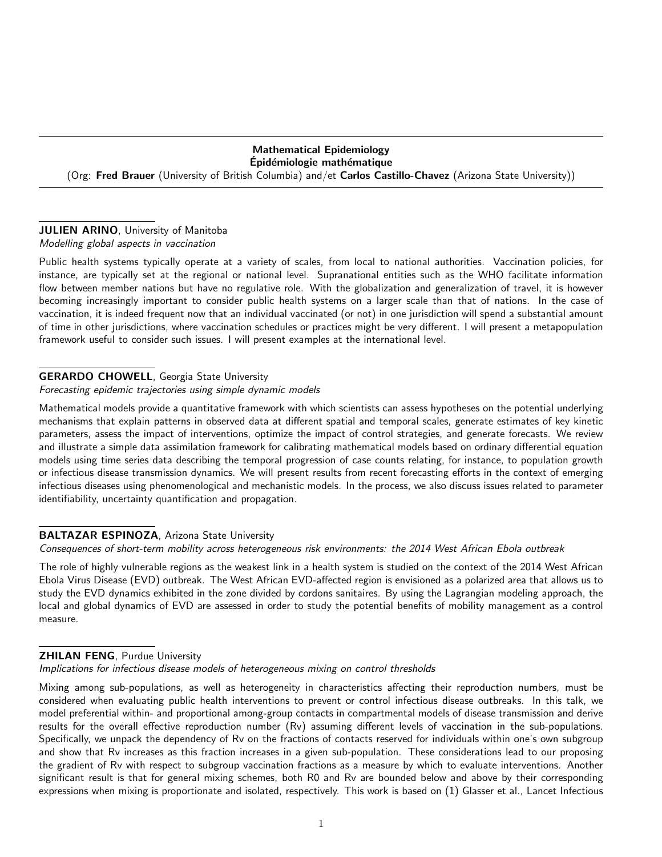# Mathematical Epidemiology Epidémiologie mathématique (Org: Fred Brauer (University of British Columbia) and/et Carlos Castillo-Chavez (Arizona State University))

### JULIEN ARINO, University of Manitoba Modelling global aspects in vaccination

Public health systems typically operate at a variety of scales, from local to national authorities. Vaccination policies, for instance, are typically set at the regional or national level. Supranational entities such as the WHO facilitate information flow between member nations but have no regulative role. With the globalization and generalization of travel, it is however becoming increasingly important to consider public health systems on a larger scale than that of nations. In the case of vaccination, it is indeed frequent now that an individual vaccinated (or not) in one jurisdiction will spend a substantial amount of time in other jurisdictions, where vaccination schedules or practices might be very different. I will present a metapopulation framework useful to consider such issues. I will present examples at the international level.

# GERARDO CHOWELL, Georgia State University

Forecasting epidemic trajectories using simple dynamic models

Mathematical models provide a quantitative framework with which scientists can assess hypotheses on the potential underlying mechanisms that explain patterns in observed data at different spatial and temporal scales, generate estimates of key kinetic parameters, assess the impact of interventions, optimize the impact of control strategies, and generate forecasts. We review and illustrate a simple data assimilation framework for calibrating mathematical models based on ordinary differential equation models using time series data describing the temporal progression of case counts relating, for instance, to population growth or infectious disease transmission dynamics. We will present results from recent forecasting efforts in the context of emerging infectious diseases using phenomenological and mechanistic models. In the process, we also discuss issues related to parameter identifiability, uncertainty quantification and propagation.

# BALTAZAR ESPINOZA, Arizona State University

Consequences of short-term mobility across heterogeneous risk environments: the 2014 West African Ebola outbreak

The role of highly vulnerable regions as the weakest link in a health system is studied on the context of the 2014 West African Ebola Virus Disease (EVD) outbreak. The West African EVD-affected region is envisioned as a polarized area that allows us to study the EVD dynamics exhibited in the zone divided by cordons sanitaires. By using the Lagrangian modeling approach, the local and global dynamics of EVD are assessed in order to study the potential benefits of mobility management as a control measure.

# **ZHILAN FENG, Purdue University**

Implications for infectious disease models of heterogeneous mixing on control thresholds

Mixing among sub-populations, as well as heterogeneity in characteristics affecting their reproduction numbers, must be considered when evaluating public health interventions to prevent or control infectious disease outbreaks. In this talk, we model preferential within- and proportional among-group contacts in compartmental models of disease transmission and derive results for the overall effective reproduction number (Rv) assuming different levels of vaccination in the sub-populations. Specifically, we unpack the dependency of Rv on the fractions of contacts reserved for individuals within one's own subgroup and show that Rv increases as this fraction increases in a given sub-population. These considerations lead to our proposing the gradient of Rv with respect to subgroup vaccination fractions as a measure by which to evaluate interventions. Another significant result is that for general mixing schemes, both R0 and Rv are bounded below and above by their corresponding expressions when mixing is proportionate and isolated, respectively. This work is based on (1) Glasser et al., Lancet Infectious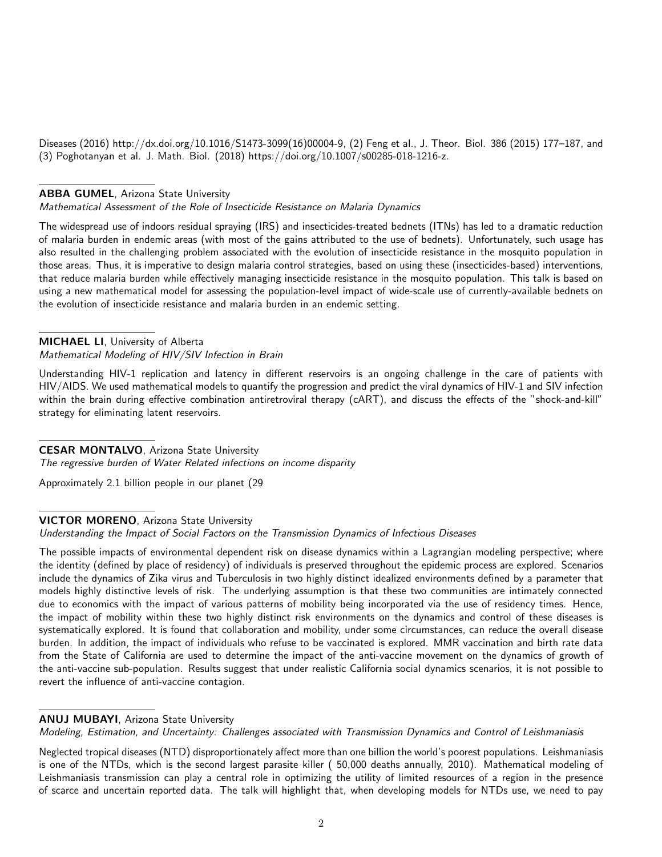Diseases (2016) http://dx.doi.org/10.1016/S1473-3099(16)00004-9, (2) Feng et al., J. Theor. Biol. 386 (2015) 177–187, and (3) Poghotanyan et al. J. Math. Biol. (2018) https://doi.org/10.1007/s00285-018-1216-z.

## ABBA GUMEL, Arizona State University

Mathematical Assessment of the Role of Insecticide Resistance on Malaria Dynamics

The widespread use of indoors residual spraying (IRS) and insecticides-treated bednets (ITNs) has led to a dramatic reduction of malaria burden in endemic areas (with most of the gains attributed to the use of bednets). Unfortunately, such usage has also resulted in the challenging problem associated with the evolution of insecticide resistance in the mosquito population in those areas. Thus, it is imperative to design malaria control strategies, based on using these (insecticides-based) interventions, that reduce malaria burden while effectively managing insecticide resistance in the mosquito population. This talk is based on using a new mathematical model for assessing the population-level impact of wide-scale use of currently-available bednets on the evolution of insecticide resistance and malaria burden in an endemic setting.

#### MICHAEL LI, University of Alberta Mathematical Modeling of HIV/SIV Infection in Brain

Understanding HIV-1 replication and latency in different reservoirs is an ongoing challenge in the care of patients with HIV/AIDS. We used mathematical models to quantify the progression and predict the viral dynamics of HIV-1 and SIV infection within the brain during effective combination antiretroviral therapy (cART), and discuss the effects of the "shock-and-kill" strategy for eliminating latent reservoirs.

# CESAR MONTALVO, Arizona State University

The regressive burden of Water Related infections on income disparity

Approximately 2.1 billion people in our planet (29

# VICTOR MORENO, Arizona State University

Understanding the Impact of Social Factors on the Transmission Dynamics of Infectious Diseases

The possible impacts of environmental dependent risk on disease dynamics within a Lagrangian modeling perspective; where the identity (defined by place of residency) of individuals is preserved throughout the epidemic process are explored. Scenarios include the dynamics of Zika virus and Tuberculosis in two highly distinct idealized environments defined by a parameter that models highly distinctive levels of risk. The underlying assumption is that these two communities are intimately connected due to economics with the impact of various patterns of mobility being incorporated via the use of residency times. Hence, the impact of mobility within these two highly distinct risk environments on the dynamics and control of these diseases is systematically explored. It is found that collaboration and mobility, under some circumstances, can reduce the overall disease burden. In addition, the impact of individuals who refuse to be vaccinated is explored. MMR vaccination and birth rate data from the State of California are used to determine the impact of the anti-vaccine movement on the dynamics of growth of the anti-vaccine sub-population. Results suggest that under realistic California social dynamics scenarios, it is not possible to revert the influence of anti-vaccine contagion.

# ANUJ MUBAYI, Arizona State University

Modeling, Estimation, and Uncertainty: Challenges associated with Transmission Dynamics and Control of Leishmaniasis

Neglected tropical diseases (NTD) disproportionately affect more than one billion the world's poorest populations. Leishmaniasis is one of the NTDs, which is the second largest parasite killer ( 50,000 deaths annually, 2010). Mathematical modeling of Leishmaniasis transmission can play a central role in optimizing the utility of limited resources of a region in the presence of scarce and uncertain reported data. The talk will highlight that, when developing models for NTDs use, we need to pay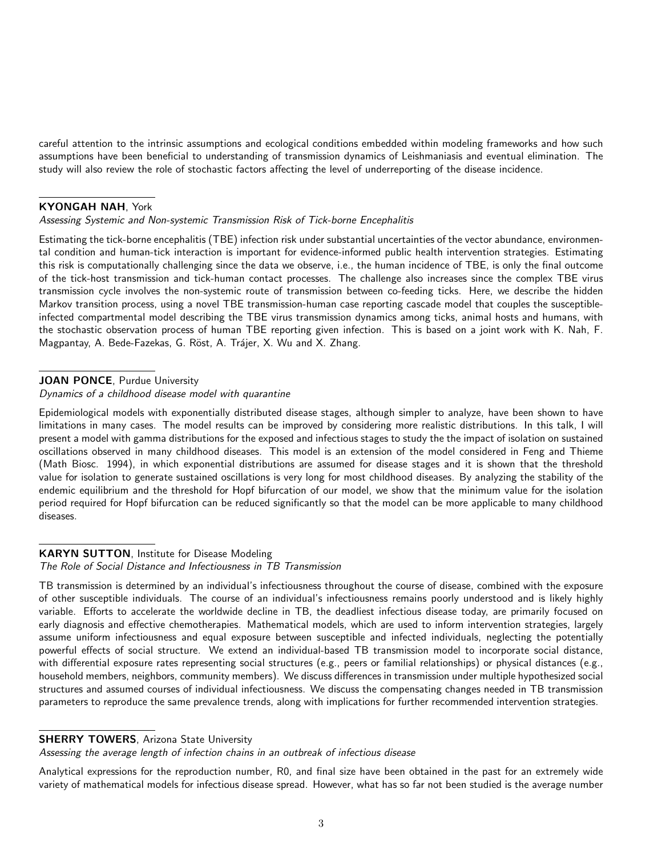careful attention to the intrinsic assumptions and ecological conditions embedded within modeling frameworks and how such assumptions have been beneficial to understanding of transmission dynamics of Leishmaniasis and eventual elimination. The study will also review the role of stochastic factors affecting the level of underreporting of the disease incidence.

## KYONGAH NAH, York

#### Assessing Systemic and Non-systemic Transmission Risk of Tick-borne Encephalitis

Estimating the tick-borne encephalitis (TBE) infection risk under substantial uncertainties of the vector abundance, environmental condition and human-tick interaction is important for evidence-informed public health intervention strategies. Estimating this risk is computationally challenging since the data we observe, i.e., the human incidence of TBE, is only the final outcome of the tick-host transmission and tick-human contact processes. The challenge also increases since the complex TBE virus transmission cycle involves the non-systemic route of transmission between co-feeding ticks. Here, we describe the hidden Markov transition process, using a novel TBE transmission-human case reporting cascade model that couples the susceptibleinfected compartmental model describing the TBE virus transmission dynamics among ticks, animal hosts and humans, with the stochastic observation process of human TBE reporting given infection. This is based on a joint work with K. Nah, F. Magpantay, A. Bede-Fazekas, G. Röst, A. Trájer, X. Wu and X. Zhang.

# JOAN PONCE, Purdue University

#### Dynamics of a childhood disease model with quarantine

Epidemiological models with exponentially distributed disease stages, although simpler to analyze, have been shown to have limitations in many cases. The model results can be improved by considering more realistic distributions. In this talk, I will present a model with gamma distributions for the exposed and infectious stages to study the the impact of isolation on sustained oscillations observed in many childhood diseases. This model is an extension of the model considered in Feng and Thieme (Math Biosc. 1994), in which exponential distributions are assumed for disease stages and it is shown that the threshold value for isolation to generate sustained oscillations is very long for most childhood diseases. By analyzing the stability of the endemic equilibrium and the threshold for Hopf bifurcation of our model, we show that the minimum value for the isolation period required for Hopf bifurcation can be reduced significantly so that the model can be more applicable to many childhood diseases.

## KARYN SUTTON, Institute for Disease Modeling The Role of Social Distance and Infectiousness in TB Transmission

TB transmission is determined by an individual's infectiousness throughout the course of disease, combined with the exposure of other susceptible individuals. The course of an individual's infectiousness remains poorly understood and is likely highly variable. Efforts to accelerate the worldwide decline in TB, the deadliest infectious disease today, are primarily focused on early diagnosis and effective chemotherapies. Mathematical models, which are used to inform intervention strategies, largely assume uniform infectiousness and equal exposure between susceptible and infected individuals, neglecting the potentially powerful effects of social structure. We extend an individual-based TB transmission model to incorporate social distance, with differential exposure rates representing social structures (e.g., peers or familial relationships) or physical distances (e.g., household members, neighbors, community members). We discuss differences in transmission under multiple hypothesized social structures and assumed courses of individual infectiousness. We discuss the compensating changes needed in TB transmission parameters to reproduce the same prevalence trends, along with implications for further recommended intervention strategies.

### **SHERRY TOWERS, Arizona State University**

Assessing the average length of infection chains in an outbreak of infectious disease

Analytical expressions for the reproduction number, R0, and final size have been obtained in the past for an extremely wide variety of mathematical models for infectious disease spread. However, what has so far not been studied is the average number